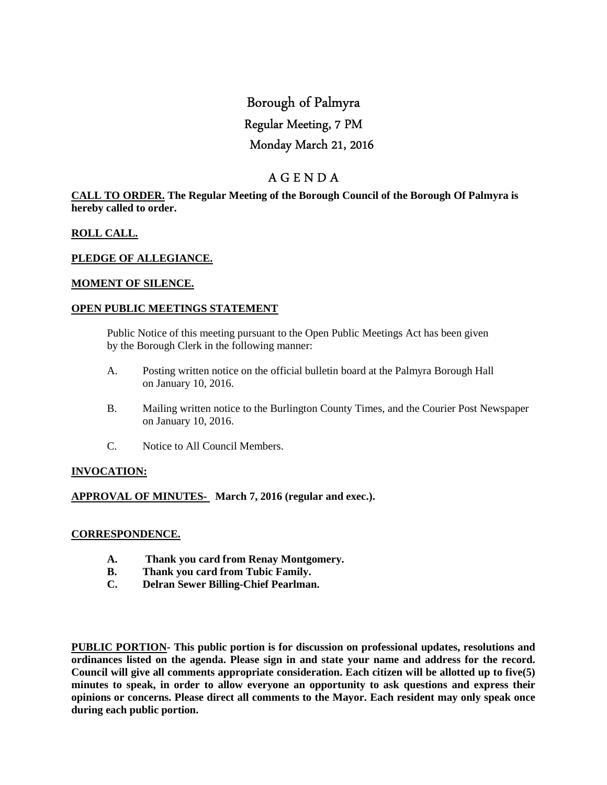# Borough of Palmyra Regular Meeting, 7 PM Monday March 21, 2016

# A G E N D A

# **CALL TO ORDER. The Regular Meeting of the Borough Council of the Borough Of Palmyra is hereby called to order.**

# **ROLL CALL.**

# **PLEDGE OF ALLEGIANCE.**

# **MOMENT OF SILENCE.**

# **OPEN PUBLIC MEETINGS STATEMENT**

 Public Notice of this meeting pursuant to the Open Public Meetings Act has been given by the Borough Clerk in the following manner:

- A. Posting written notice on the official bulletin board at the Palmyra Borough Hall on January 10, 2016.
- B. Mailing written notice to the Burlington County Times, and the Courier Post Newspaper on January 10, 2016.
- C. Notice to All Council Members.

# **INVOCATION:**

# **APPROVAL OF MINUTES- March 7, 2016 (regular and exec.).**

#### **CORRESPONDENCE.**

- **A. Thank you card from Renay Montgomery.**
- **B. Thank you card from Tubic Family.**
- **C. Delran Sewer Billing-Chief Pearlman.**

**PUBLIC PORTION- This public portion is for discussion on professional updates, resolutions and ordinances listed on the agenda. Please sign in and state your name and address for the record. Council will give all comments appropriate consideration. Each citizen will be allotted up to five(5) minutes to speak, in order to allow everyone an opportunity to ask questions and express their opinions or concerns. Please direct all comments to the Mayor. Each resident may only speak once during each public portion.**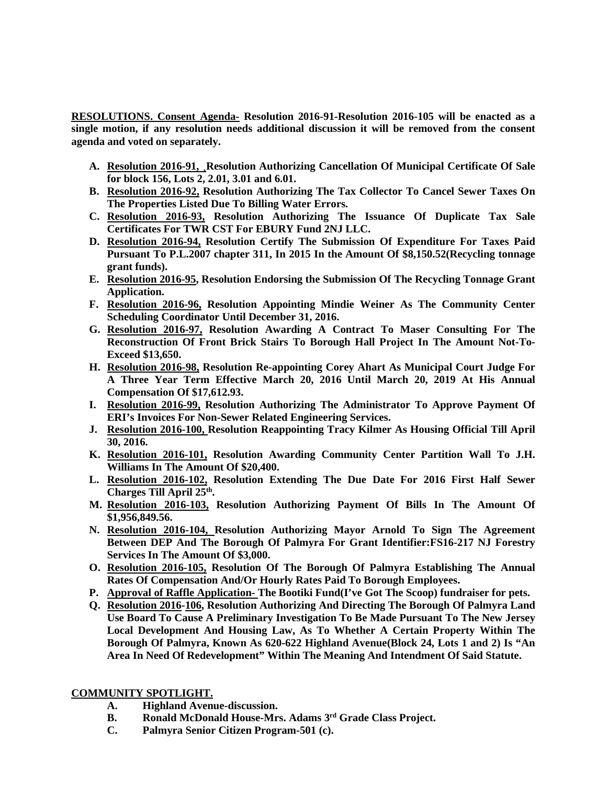**RESOLUTIONS. Consent Agenda- Resolution 2016-91-Resolution 2016-105 will be enacted as a single motion, if any resolution needs additional discussion it will be removed from the consent agenda and voted on separately.** 

- **A. Resolution 2016-91, ¸Resolution Authorizing Cancellation Of Municipal Certificate Of Sale for block 156, Lots 2, 2.01, 3.01 and 6.01.**
- **B. Resolution 2016-92, Resolution Authorizing The Tax Collector To Cancel Sewer Taxes On The Properties Listed Due To Billing Water Errors.**
- **C. Resolution 2016-93, Resolution Authorizing The Issuance Of Duplicate Tax Sale Certificates For TWR CST For EBURY Fund 2NJ LLC.**
- **D. Resolution 2016-94, Resolution Certify The Submission Of Expenditure For Taxes Paid Pursuant To P.L.2007 chapter 311, In 2015 In the Amount Of \$8,150.52(Recycling tonnage grant funds).**
- **E. Resolution 2016-95, Resolution Endorsing the Submission Of The Recycling Tonnage Grant Application.**
- **F. Resolution 2016-96, Resolution Appointing Mindie Weiner As The Community Center Scheduling Coordinator Until December 31, 2016.**
- **G. Resolution 2016-97, Resolution Awarding A Contract To Maser Consulting For The Reconstruction Of Front Brick Stairs To Borough Hall Project In The Amount Not-To-Exceed \$13,650.**
- **H. Resolution 2016-98, Resolution Re-appointing Corey Ahart As Municipal Court Judge For A Three Year Term Effective March 20, 2016 Until March 20, 2019 At His Annual Compensation Of \$17,612.93.**
- **I. Resolution 2016-99, Resolution Authorizing The Administrator To Approve Payment Of ERI's Invoices For Non-Sewer Related Engineering Services.**
- **J. Resolution 2016-100, Resolution Reappointing Tracy Kilmer As Housing Official Till April 30, 2016.**
- **K. Resolution 2016-101, Resolution Awarding Community Center Partition Wall To J.H. Williams In The Amount Of \$20,400.**
- **L. Resolution 2016-102, Resolution Extending The Due Date For 2016 First Half Sewer Charges Till April 25th .**
- **M. Resolution 2016-103, Resolution Authorizing Payment Of Bills In The Amount Of \$1,956,849.56.**
- **N. Resolution 2016-104, Resolution Authorizing Mayor Arnold To Sign The Agreement Between DEP And The Borough Of Palmyra For Grant Identifier:FS16-217 NJ Forestry Services In The Amount Of \$3,000.**
- **O. Resolution 2016-105, Resolution Of The Borough Of Palmyra Establishing The Annual Rates Of Compensation And/Or Hourly Rates Paid To Borough Employees.**
- **P. Approval of Raffle Application- The Bootiki Fund(I've Got The Scoop) fundraiser for pets.**
- **Q. Resolution 2016-106, Resolution Authorizing And Directing The Borough Of Palmyra Land Use Board To Cause A Preliminary Investigation To Be Made Pursuant To The New Jersey Local Development And Housing Law, As To Whether A Certain Property Within The Borough Of Palmyra, Known As 620-622 Highland Avenue(Block 24, Lots 1 and 2) Is "An Area In Need Of Redevelopment" Within The Meaning And Intendment Of Said Statute.**

# **COMMUNITY SPOTLIGHT.**

- **A. Highland Avenue-discussion.**
- **B. Ronald McDonald House-Mrs. Adams 3rd Grade Class Project.**
- **C. Palmyra Senior Citizen Program-501 (c).**